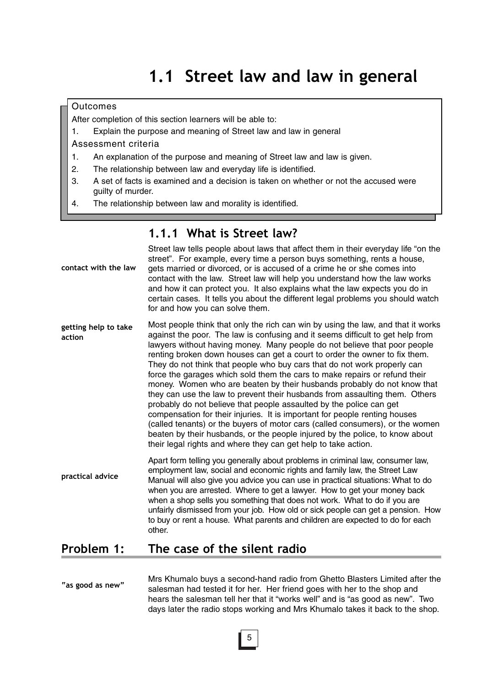#### **Outcomes**

After completion of this section learners will be able to:

- 1. Explain the purpose and meaning of Street law and law in general
- Assessment criteria
- 1. An explanation of the purpose and meaning of Street law and law is given.
- 2. The relationship between law and everyday life is identified.
- 3. A set of facts is examined and a decision is taken on whether or not the accused were guilty of murder.
- 4. The relationship between law and morality is identified.

#### **1.1.1 What is Street law?**

| contact with the law           | Street law tells people about laws that affect them in their everyday life "on the<br>street". For example, every time a person buys something, rents a house,<br>gets married or divorced, or is accused of a crime he or she comes into<br>contact with the law. Street law will help you understand how the law works<br>and how it can protect you. It also explains what the law expects you do in<br>certain cases. It tells you about the different legal problems you should watch<br>for and how you can solve them.                                                                                                                                                                                                                                                                                                                                                                                                                                                                                                             |
|--------------------------------|-------------------------------------------------------------------------------------------------------------------------------------------------------------------------------------------------------------------------------------------------------------------------------------------------------------------------------------------------------------------------------------------------------------------------------------------------------------------------------------------------------------------------------------------------------------------------------------------------------------------------------------------------------------------------------------------------------------------------------------------------------------------------------------------------------------------------------------------------------------------------------------------------------------------------------------------------------------------------------------------------------------------------------------------|
| getting help to take<br>action | Most people think that only the rich can win by using the law, and that it works<br>against the poor. The law is confusing and it seems difficult to get help from<br>lawyers without having money. Many people do not believe that poor people<br>renting broken down houses can get a court to order the owner to fix them.<br>They do not think that people who buy cars that do not work properly can<br>force the garages which sold them the cars to make repairs or refund their<br>money. Women who are beaten by their husbands probably do not know that<br>they can use the law to prevent their husbands from assaulting them. Others<br>probably do not believe that people assaulted by the police can get<br>compensation for their injuries. It is important for people renting houses<br>(called tenants) or the buyers of motor cars (called consumers), or the women<br>beaten by their husbands, or the people injured by the police, to know about<br>their legal rights and where they can get help to take action. |
| practical advice               | Apart form telling you generally about problems in criminal law, consumer law,<br>employment law, social and economic rights and family law, the Street Law<br>Manual will also give you advice you can use in practical situations: What to do<br>when you are arrested. Where to get a lawyer. How to get your money back<br>when a shop sells you something that does not work. What to do if you are<br>unfairly dismissed from your job. How old or sick people can get a pension. How<br>to buy or rent a house. What parents and children are expected to do for each<br>other.                                                                                                                                                                                                                                                                                                                                                                                                                                                    |
| <b>Drohlom</b>                 | The sase of the silent radio                                                                                                                                                                                                                                                                                                                                                                                                                                                                                                                                                                                                                                                                                                                                                                                                                                                                                                                                                                                                              |

## **Problem 1: The case of the silent radio**

**"as good as new"** Mrs Khumalo buys a second-hand radio from Ghetto Blasters Limited after the salesman had tested it for her. Her friend goes with her to the shop and hears the salesman tell her that it "works well" and is "as good as new". Two days later the radio stops working and Mrs Khumalo takes it back to the shop.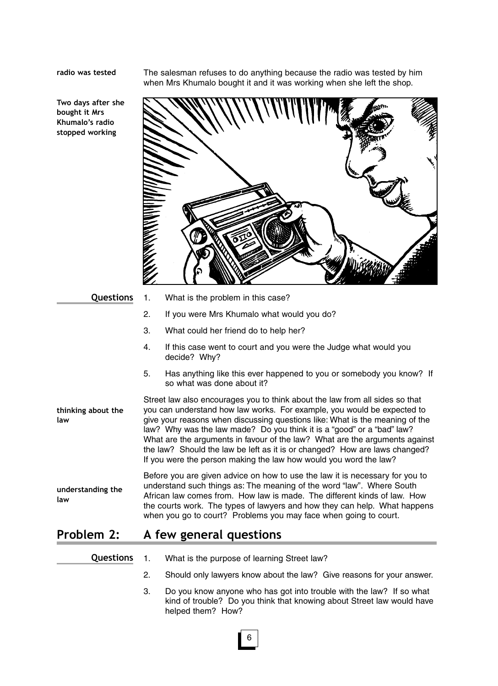**radio was tested**

The salesman refuses to do anything because the radio was tested by him when Mrs Khumalo bought it and it was working when she left the shop.





**Questions**

**law**

1. What is the problem in this case?

- 2. If you were Mrs Khumalo what would you do?
- 3. What could her friend do to help her?
- 4. If this case went to court and you were the Judge what would you decide? Why?
- 5. Has anything like this ever happened to you or somebody you know? If so what was done about it?

Street law also encourages you to think about the law from all sides so that you can understand how law works. For example, you would be expected to give your reasons when discussing questions like: What is the meaning of the law? Why was the law made? Do you think it is a "good" or a "bad" law? What are the arguments in favour of the law? What are the arguments against the law? Should the law be left as it is or changed? How are laws changed? If you were the person making the law how would you word the law? **thinking about the law**

Before you are given advice on how to use the law it is necessary for you to understand such things as: The meaning of the word "law". Where South African law comes from. How law is made. The different kinds of law. How the courts work. The types of lawyers and how they can help. What happens when you go to court? Problems you may face when going to court. **understanding the**

## **Problem 2: A few general questions**

- 1. What is the purpose of learning Street law? **Questions**
	- 2. Should only lawyers know about the law? Give reasons for your answer.
	- 3. Do you know anyone who has got into trouble with the law? If so what kind of trouble? Do you think that knowing about Street law would have helped them? How?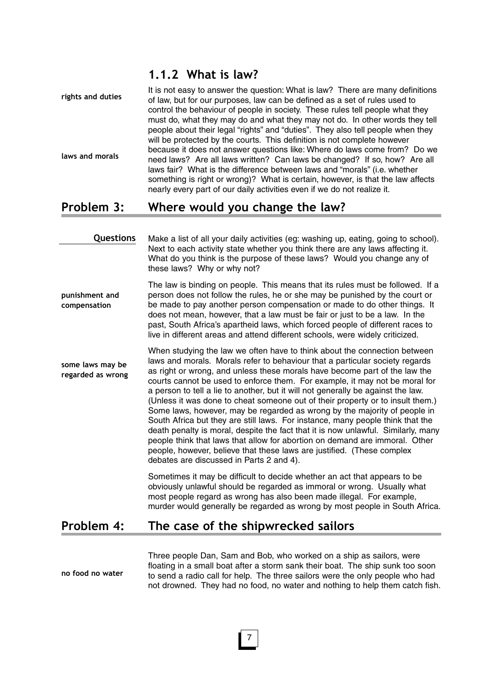## **1.1.2 What is law?**

| rights and duties | It is not easy to answer the question: What is law? There are many definitions<br>of law, but for our purposes, law can be defined as a set of rules used to |
|-------------------|--------------------------------------------------------------------------------------------------------------------------------------------------------------|
|                   | control the behaviour of people in society. These rules tell people what they                                                                                |
|                   | must do, what they may do and what they may not do. In other words they tell                                                                                 |
|                   | people about their legal "rights" and "duties". They also tell people when they                                                                              |
|                   | will be protected by the courts. This definition is not complete however                                                                                     |
|                   | because it does not answer questions like: Where do laws come from? Do we                                                                                    |
| laws and morals   | need laws? Are all laws written? Can laws be changed? If so, how? Are all                                                                                    |
|                   | laws fair? What is the difference between laws and "morals" (i.e. whether                                                                                    |
|                   | something is right or wrong)? What is certain, however, is that the law affects                                                                              |
|                   | nearly every part of our daily activities even if we do not realize it.                                                                                      |

## **Problem 3: Where would you change the law?**

| Questions                             | Make a list of all your daily activities (eg: washing up, eating, going to school).<br>Next to each activity state whether you think there are any laws affecting it.<br>What do you think is the purpose of these laws? Would you change any of<br>these laws? Why or why not?                                                                                                                                                                                                                                                                                                                                                                                                                                                                                                                                                                                                                                                                       |
|---------------------------------------|-------------------------------------------------------------------------------------------------------------------------------------------------------------------------------------------------------------------------------------------------------------------------------------------------------------------------------------------------------------------------------------------------------------------------------------------------------------------------------------------------------------------------------------------------------------------------------------------------------------------------------------------------------------------------------------------------------------------------------------------------------------------------------------------------------------------------------------------------------------------------------------------------------------------------------------------------------|
| punishment and<br>compensation        | The law is binding on people. This means that its rules must be followed. If a<br>person does not follow the rules, he or she may be punished by the court or<br>be made to pay another person compensation or made to do other things. It<br>does not mean, however, that a law must be fair or just to be a law. In the<br>past, South Africa's apartheid laws, which forced people of different races to<br>live in different areas and attend different schools, were widely criticized.                                                                                                                                                                                                                                                                                                                                                                                                                                                          |
| some laws may be<br>regarded as wrong | When studying the law we often have to think about the connection between<br>laws and morals. Morals refer to behaviour that a particular society regards<br>as right or wrong, and unless these morals have become part of the law the<br>courts cannot be used to enforce them. For example, it may not be moral for<br>a person to tell a lie to another, but it will not generally be against the law.<br>(Unless it was done to cheat someone out of their property or to insult them.)<br>Some laws, however, may be regarded as wrong by the majority of people in<br>South Africa but they are still laws. For instance, many people think that the<br>death penalty is moral, despite the fact that it is now unlawful. Similarly, many<br>people think that laws that allow for abortion on demand are immoral. Other<br>people, however, believe that these laws are justified. (These complex<br>debates are discussed in Parts 2 and 4). |
|                                       | Sometimes it may be difficult to decide whether an act that appears to be<br>obviously unlawful should be regarded as immoral or wrong. Usually what<br>most people regard as wrong has also been made illegal. For example,<br>murder would generally be regarded as wrong by most people in South Africa.                                                                                                                                                                                                                                                                                                                                                                                                                                                                                                                                                                                                                                           |
| Problem 4:                            | The case of the shipwrecked sailors                                                                                                                                                                                                                                                                                                                                                                                                                                                                                                                                                                                                                                                                                                                                                                                                                                                                                                                   |

Three people Dan, Sam and Bob, who worked on a ship as sailors, were floating in a small boat after a storm sank their boat. The ship sunk too soon to send a radio call for help. The three sailors were the only people who had not drowned. They had no food, no water and nothing to help them catch fish. **no food no water**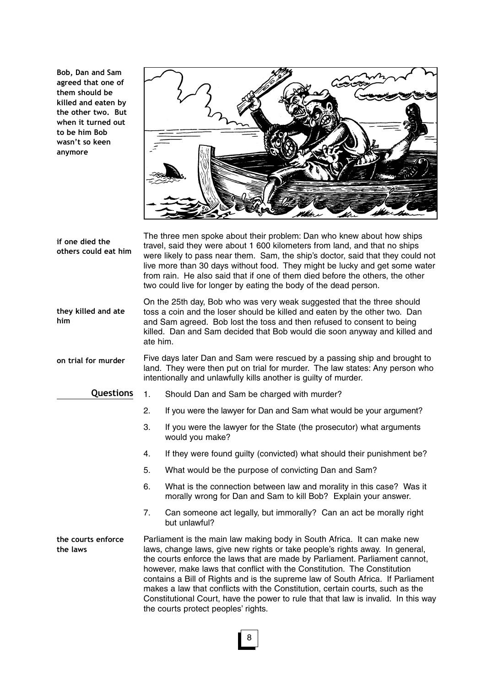**Bob, Dan and Sam agreed that one of them should be killed and eaten by the other two. But when it turned out to be him Bob wasn't so keen anymore** 



The three men spoke about their problem: Dan who knew about how ships travel, said they were about 1 600 kilometers from land, and that no ships were likely to pass near them. Sam, the ship's doctor, said that they could not live more than 30 days without food. They might be lucky and get some water from rain. He also said that if one of them died before the others, the other two could live for longer by eating the body of the dead person. On the 25th day, Bob who was very weak suggested that the three should toss a coin and the loser should be killed and eaten by the other two. Dan and Sam agreed. Bob lost the toss and then refused to consent to being killed. Dan and Sam decided that Bob would die soon anyway and killed and ate him. Five days later Dan and Sam were rescued by a passing ship and brought to land. They were then put on trial for murder. The law states: Any person who intentionally and unlawfully kills another is guilty of murder. 1. Should Dan and Sam be charged with murder? 2. If you were the lawyer for Dan and Sam what would be your argument? 3. If you were the lawyer for the State (the prosecutor) what arguments would you make? 4. If they were found guilty (convicted) what should their punishment be? 5. What would be the purpose of convicting Dan and Sam? 6. What is the connection between law and morality in this case? Was it morally wrong for Dan and Sam to kill Bob? Explain your answer. 7. Can someone act legally, but immorally? Can an act be morally right but unlawful? Parliament is the main law making body in South Africa. It can make new laws, change laws, give new rights or take people's rights away. In general, the courts enforce the laws that are made by Parliament. Parliament cannot, however, make laws that conflict with the Constitution. The Constitution contains a Bill of Rights and is the supreme law of South Africa. If Parliament makes a law that conflicts with the Constitution, certain courts, such as the Constitutional Court, have the power to rule that that law is invalid. In this way the courts protect peoples' rights. **if one died the others could eat him they killed and ate him on trial for murder the courts enforce the laws Questions**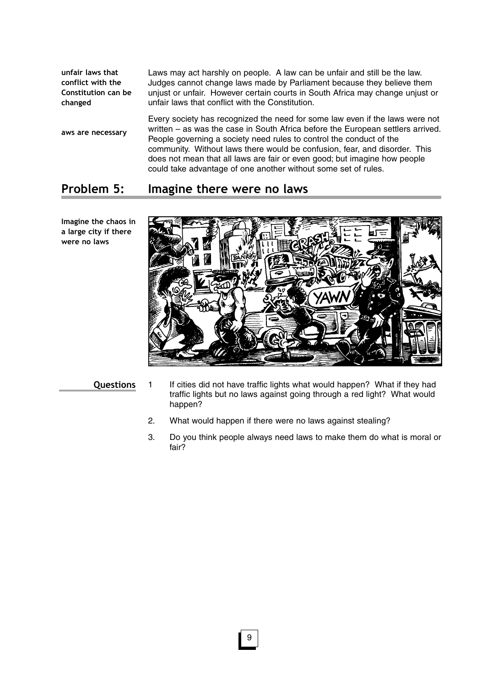Laws may act harshly on people. A law can be unfair and still be the law. Judges cannot change laws made by Parliament because they believe them unjust or unfair. However certain courts in South Africa may change unjust or unfair laws that conflict with the Constitution. Every society has recognized the need for some law even if the laws were not written – as was the case in South Africa before the European settlers arrived. People governing a society need rules to control the conduct of the community. Without laws there would be confusion, fear, and disorder. This does not mean that all laws are fair or even good; but imagine how people could take advantage of one another without some set of rules. **unfair laws that conflict with the Constitution can be changed aws are necessary**

## **Problem 5: Imagine there were no laws**

**Questions**

- 1 If cities did not have traffic lights what would happen? What if they had traffic lights but no laws against going through a red light? What would happen?
- 2. What would happen if there were no laws against stealing?
- 3. Do you think people always need laws to make them do what is moral or fair?

**Imagine the chaos in a large city if there were no laws**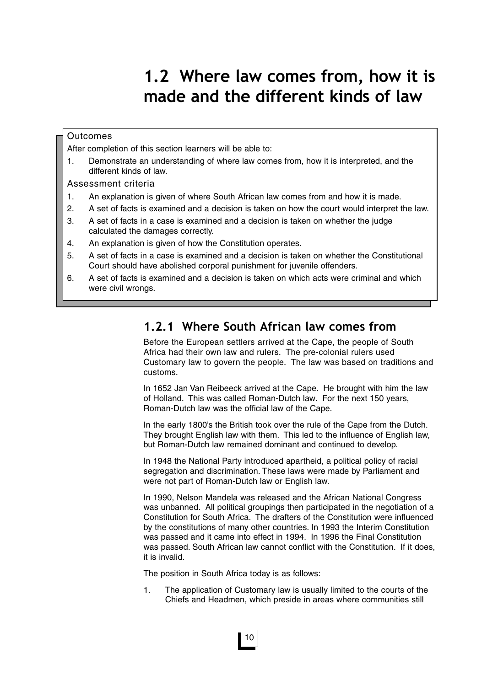# **1.2 Where law comes from, how it is made and the different kinds of law**

#### **Outcomes**

After completion of this section learners will be able to:

1. Demonstrate an understanding of where law comes from, how it is interpreted, and the different kinds of law.

Assessment criteria

- 1. An explanation is given of where South African law comes from and how it is made.
- 2. A set of facts is examined and a decision is taken on how the court would interpret the law.
- 3. A set of facts in a case is examined and a decision is taken on whether the judge calculated the damages correctly.
- 4. An explanation is given of how the Constitution operates.
- 5. A set of facts in a case is examined and a decision is taken on whether the Constitutional Court should have abolished corporal punishment for juvenile offenders.
- 6. A set of facts is examined and a decision is taken on which acts were criminal and which were civil wrongs.

## **1.2.1 Where South African law comes from**

Before the European settlers arrived at the Cape, the people of South Africa had their own law and rulers. The pre-colonial rulers used Customary law to govern the people. The law was based on traditions and customs.

In 1652 Jan Van Reibeeck arrived at the Cape. He brought with him the law of Holland. This was called Roman-Dutch law. For the next 150 years, Roman-Dutch law was the official law of the Cape.

In the early 1800's the British took over the rule of the Cape from the Dutch. They brought English law with them. This led to the influence of English law, but Roman-Dutch law remained dominant and continued to develop.

In 1948 the National Party introduced apartheid, a political policy of racial segregation and discrimination. These laws were made by Parliament and were not part of Roman-Dutch law or English law.

In 1990, Nelson Mandela was released and the African National Congress was unbanned. All political groupings then participated in the negotiation of a Constitution for South Africa. The drafters of the Constitution were influenced by the constitutions of many other countries. In 1993 the Interim Constitution was passed and it came into effect in 1994. In 1996 the Final Constitution was passed. South African law cannot conflict with the Constitution. If it does, it is invalid.

The position in South Africa today is as follows:

1. The application of Customary law is usually limited to the courts of the Chiefs and Headmen, which preside in areas where communities still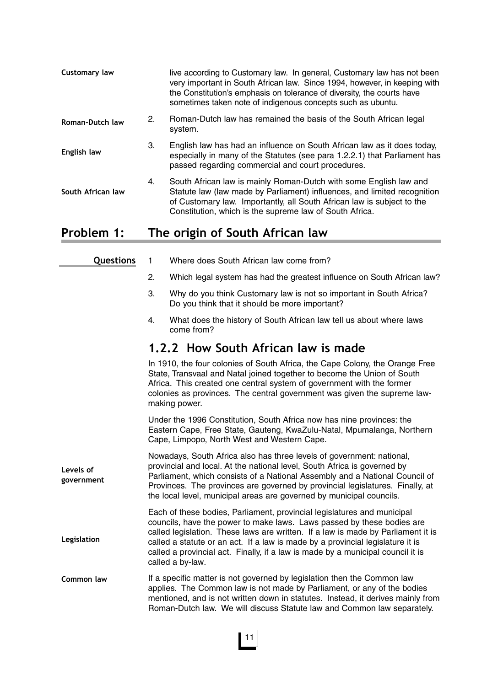| Customary law     |    | live according to Customary law. In general, Customary law has not been<br>very important in South African law. Since 1994, however, in keeping with<br>the Constitution's emphasis on tolerance of diversity, the courts have<br>sometimes taken note of indigenous concepts such as ubuntu. |
|-------------------|----|-----------------------------------------------------------------------------------------------------------------------------------------------------------------------------------------------------------------------------------------------------------------------------------------------|
| Roman-Dutch law   | 2. | Roman-Dutch law has remained the basis of the South African legal<br>system.                                                                                                                                                                                                                  |
| English law       | 3. | English law has had an influence on South African law as it does today,<br>especially in many of the Statutes (see para 1.2.2.1) that Parliament has<br>passed regarding commercial and court procedures.                                                                                     |
| South African law | 4. | South African law is mainly Roman-Dutch with some English law and<br>Statute law (law made by Parliament) influences, and limited recognition<br>of Customary law. Importantly, all South African law is subject to the<br>Constitution, which is the supreme law of South Africa.            |
|                   |    | $\mathcal{L}$ at a finite of $\mathcal{L}$ and $\mathcal{L}$ at $\mathcal{L}$ at $\mathcal{L}$ and $\mathcal{L}$ at $\mathcal{L}$                                                                                                                                                             |

## **Problem 1: The origin of South African law**

| Questions               | $\mathbf{1}$ | Where does South African law come from?                                                                                                                                                                                                                                                                                                                                                                                        |
|-------------------------|--------------|--------------------------------------------------------------------------------------------------------------------------------------------------------------------------------------------------------------------------------------------------------------------------------------------------------------------------------------------------------------------------------------------------------------------------------|
|                         | 2.           | Which legal system has had the greatest influence on South African law?                                                                                                                                                                                                                                                                                                                                                        |
|                         | 3.           | Why do you think Customary law is not so important in South Africa?<br>Do you think that it should be more important?                                                                                                                                                                                                                                                                                                          |
|                         | 4.           | What does the history of South African law tell us about where laws<br>come from?                                                                                                                                                                                                                                                                                                                                              |
|                         |              | 1.2.2 How South African law is made                                                                                                                                                                                                                                                                                                                                                                                            |
|                         |              | In 1910, the four colonies of South Africa, the Cape Colony, the Orange Free<br>State, Transvaal and Natal joined together to become the Union of South<br>Africa. This created one central system of government with the former<br>colonies as provinces. The central government was given the supreme law-<br>making power.                                                                                                  |
|                         |              | Under the 1996 Constitution, South Africa now has nine provinces: the<br>Eastern Cape, Free State, Gauteng, KwaZulu-Natal, Mpumalanga, Northern<br>Cape, Limpopo, North West and Western Cape.                                                                                                                                                                                                                                 |
| Levels of<br>government |              | Nowadays, South Africa also has three levels of government: national,<br>provincial and local. At the national level, South Africa is governed by<br>Parliament, which consists of a National Assembly and a National Council of<br>Provinces. The provinces are governed by provincial legislatures. Finally, at<br>the local level, municipal areas are governed by municipal councils.                                      |
| Legislation             |              | Each of these bodies, Parliament, provincial legislatures and municipal<br>councils, have the power to make laws. Laws passed by these bodies are<br>called legislation. These laws are written. If a law is made by Parliament it is<br>called a statute or an act. If a law is made by a provincial legislature it is<br>called a provincial act. Finally, if a law is made by a municipal council it is<br>called a by-law. |
| Common law              |              | If a specific matter is not governed by legislation then the Common law<br>applies. The Common law is not made by Parliament, or any of the bodies<br>mentioned, and is not written down in statutes. Instead, it derives mainly from<br>Roman-Dutch law. We will discuss Statute law and Common law separately.                                                                                                               |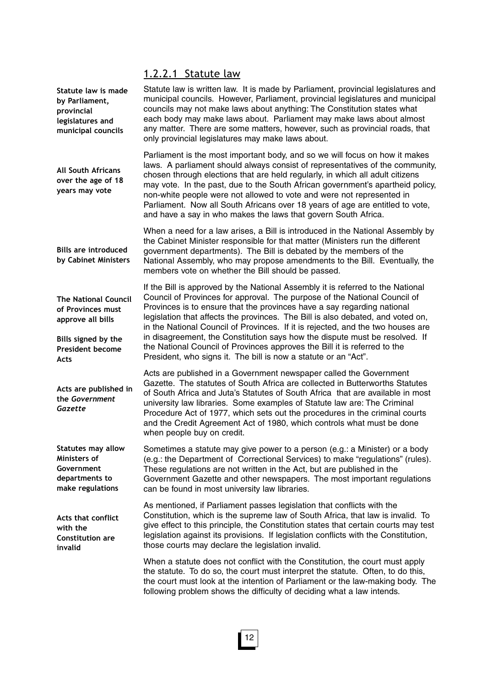## 1.2.2.1 Statute law

| Statute law is made<br>by Parliament,<br>provincial<br>legislatures and<br>municipal councils                           | Statute law is written law. It is made by Parliament, provincial legislatures and<br>municipal councils. However, Parliament, provincial legislatures and municipal<br>councils may not make laws about anything: The Constitution states what<br>each body may make laws about. Parliament may make laws about almost<br>any matter. There are some matters, however, such as provincial roads, that<br>only provincial legislatures may make laws about.                                                                                                                |  |
|-------------------------------------------------------------------------------------------------------------------------|---------------------------------------------------------------------------------------------------------------------------------------------------------------------------------------------------------------------------------------------------------------------------------------------------------------------------------------------------------------------------------------------------------------------------------------------------------------------------------------------------------------------------------------------------------------------------|--|
| <b>All South Africans</b><br>over the age of 18<br>years may vote                                                       | Parliament is the most important body, and so we will focus on how it makes<br>laws. A parliament should always consist of representatives of the community,<br>chosen through elections that are held regularly, in which all adult citizens<br>may vote. In the past, due to the South African government's apartheid policy,<br>non-white people were not allowed to vote and were not represented in<br>Parliament. Now all South Africans over 18 years of age are entitled to vote,<br>and have a say in who makes the laws that govern South Africa.               |  |
| <b>Bills are introduced</b><br>by Cabinet Ministers                                                                     | When a need for a law arises, a Bill is introduced in the National Assembly by<br>the Cabinet Minister responsible for that matter (Ministers run the different<br>government departments). The Bill is debated by the members of the<br>National Assembly, who may propose amendments to the Bill. Eventually, the<br>members vote on whether the Bill should be passed.                                                                                                                                                                                                 |  |
| <b>The National Council</b><br>of Provinces must<br>approve all bills<br>Bills signed by the<br><b>President become</b> | If the Bill is approved by the National Assembly it is referred to the National<br>Council of Provinces for approval. The purpose of the National Council of<br>Provinces is to ensure that the provinces have a say regarding national<br>legislation that affects the provinces. The Bill is also debated, and voted on,<br>in the National Council of Provinces. If it is rejected, and the two houses are<br>in disagreement, the Constitution says how the dispute must be resolved. If<br>the National Council of Provinces approves the Bill it is referred to the |  |
| Acts                                                                                                                    | President, who signs it. The bill is now a statute or an "Act".                                                                                                                                                                                                                                                                                                                                                                                                                                                                                                           |  |
| Acts are published in<br>the Government<br>Gazette                                                                      | Acts are published in a Government newspaper called the Government<br>Gazette. The statutes of South Africa are collected in Butterworths Statutes<br>of South Africa and Juta's Statutes of South Africa that are available in most<br>university law libraries. Some examples of Statute law are: The Criminal<br>Procedure Act of 1977, which sets out the procedures in the criminal courts<br>and the Credit Agreement Act of 1980, which controls what must be done<br>when people buy on credit.                                                                   |  |
| <b>Statutes may allow</b><br>Ministers of<br>Government<br>departments to<br>make regulations                           | Sometimes a statute may give power to a person (e.g.: a Minister) or a body<br>(e.g.: the Department of Correctional Services) to make "regulations" (rules).<br>These regulations are not written in the Act, but are published in the<br>Government Gazette and other newspapers. The most important regulations<br>can be found in most university law libraries.                                                                                                                                                                                                      |  |
| <b>Acts that conflict</b><br>with the<br><b>Constitution are</b><br>invalid                                             | As mentioned, if Parliament passes legislation that conflicts with the<br>Constitution, which is the supreme law of South Africa, that law is invalid. To<br>give effect to this principle, the Constitution states that certain courts may test<br>legislation against its provisions. If legislation conflicts with the Constitution,<br>those courts may declare the legislation invalid.                                                                                                                                                                              |  |
|                                                                                                                         | When a statute does not conflict with the Constitution, the court must apply<br>the statute. To do so, the court must interpret the statute. Often, to do this,<br>the court must look at the intention of Parliament or the law-making body. The<br>following problem shows the difficulty of deciding what a law intends.                                                                                                                                                                                                                                               |  |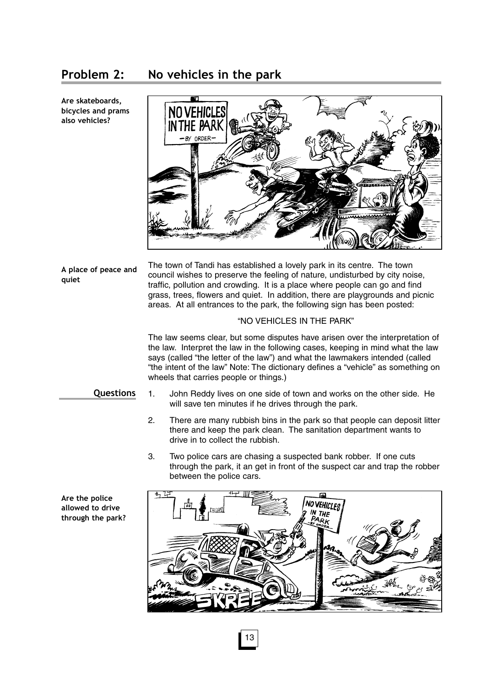## **Problem 2: No vehicles in the park**

**Are skateboards, bicycles and prams also vehicles?**



**A place of peace and quiet**

The town of Tandi has established a lovely park in its centre. The town council wishes to preserve the feeling of nature, undisturbed by city noise, traffic, pollution and crowding. It is a place where people can go and find grass, trees, flowers and quiet. In addition, there are playgrounds and picnic areas. At all entrances to the park, the following sign has been posted:

#### "NO VEHICLES IN THE PARK"

The law seems clear, but some disputes have arisen over the interpretation of the law. Interpret the law in the following cases, keeping in mind what the law says (called "the letter of the law") and what the lawmakers intended (called "the intent of the law" Note: The dictionary defines a "vehicle" as something on wheels that carries people or things.)

#### **Questions**

- 1. John Reddy lives on one side of town and works on the other side. He will save ten minutes if he drives through the park.
- 2. There are many rubbish bins in the park so that people can deposit litter there and keep the park clean. The sanitation department wants to drive in to collect the rubbish.
- 3. Two police cars are chasing a suspected bank robber. If one cuts through the park, it an get in front of the suspect car and trap the robber between the police cars.



13

**Are the police allowed to drive through the park?**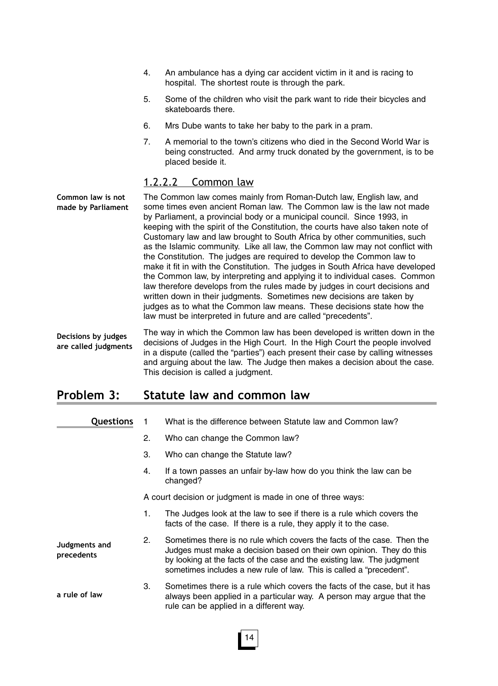- 4. An ambulance has a dying car accident victim in it and is racing to hospital. The shortest route is through the park.
- 5. Some of the children who visit the park want to ride their bicycles and skateboards there.
- 6. Mrs Dube wants to take her baby to the park in a pram.
- 7. A memorial to the town's citizens who died in the Second World War is being constructed. And army truck donated by the government, is to be placed beside it.

#### 1.2.2.2 Common law

The Common law comes mainly from Roman-Dutch law, English law, and some times even ancient Roman law. The Common law is the law not made by Parliament, a provincial body or a municipal council. Since 1993, in keeping with the spirit of the Constitution, the courts have also taken note of Customary law and law brought to South Africa by other communities, such as the Islamic community. Like all law, the Common law may not conflict with the Constitution. The judges are required to develop the Common law to make it fit in with the Constitution. The judges in South Africa have developed the Common law, by interpreting and applying it to individual cases. Common law therefore develops from the rules made by judges in court decisions and written down in their judgments. Sometimes new decisions are taken by judges as to what the Common law means. These decisions state how the law must be interpreted in future and are called "precedents". **Common law is not made by Parliament**

The way in which the Common law has been developed is written down in the decisions of Judges in the High Court. In the High Court the people involved in a dispute (called the "parties") each present their case by calling witnesses and arguing about the law. The Judge then makes a decision about the case. This decision is called a judgment. **Decisions by judges are called judgments**

## **Problem 3: Statute law and common law**

| <b>Questions</b>            |    | What is the difference between Statute law and Common law?                                                                                                                                                                                                                                       |
|-----------------------------|----|--------------------------------------------------------------------------------------------------------------------------------------------------------------------------------------------------------------------------------------------------------------------------------------------------|
|                             | 2. | Who can change the Common law?                                                                                                                                                                                                                                                                   |
|                             | 3. | Who can change the Statute law?                                                                                                                                                                                                                                                                  |
|                             | 4. | If a town passes an unfair by-law how do you think the law can be<br>changed?                                                                                                                                                                                                                    |
|                             |    | A court decision or judgment is made in one of three ways:                                                                                                                                                                                                                                       |
|                             | 1. | The Judges look at the law to see if there is a rule which covers the<br>facts of the case. If there is a rule, they apply it to the case.                                                                                                                                                       |
| Judgments and<br>precedents | 2. | Sometimes there is no rule which covers the facts of the case. Then the<br>Judges must make a decision based on their own opinion. They do this<br>by looking at the facts of the case and the existing law. The judgment<br>sometimes includes a new rule of law. This is called a "precedent". |
| a rule of law               | 3. | Sometimes there is a rule which covers the facts of the case, but it has<br>always been applied in a particular way. A person may argue that the<br>rule can be applied in a different way.                                                                                                      |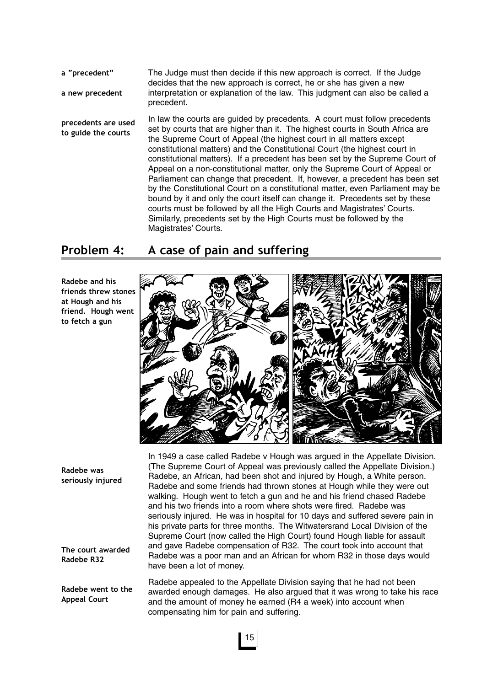The Judge must then decide if this new approach is correct. If the Judge decides that the new approach is correct, he or she has given a new interpretation or explanation of the law. This judgment can also be called a precedent. **a "precedent" a new precedent**

In law the courts are guided by precedents. A court must follow precedents set by courts that are higher than it. The highest courts in South Africa are the Supreme Court of Appeal (the highest court in all matters except constitutional matters) and the Constitutional Court (the highest court in constitutional matters). If a precedent has been set by the Supreme Court of Appeal on a non-constitutional matter, only the Supreme Court of Appeal or Parliament can change that precedent. If, however, a precedent has been set by the Constitutional Court on a constitutional matter, even Parliament may be bound by it and only the court itself can change it. Precedents set by these courts must be followed by all the High Courts and Magistrates' Courts. Similarly, precedents set by the High Courts must be followed by the Magistrates' Courts. **precedents are used to guide the courts**

## **Problem 4: A case of pain and suffering**

**Radebe and his friends threw stones at Hough and his friend. Hough went to fetch a gun**



**Radebe was seriously injured**

**The court awarded Radebe R32**

**Radebe went to the Appeal Court**

In 1949 a case called Radebe v Hough was argued in the Appellate Division. (The Supreme Court of Appeal was previously called the Appellate Division.) Radebe, an African, had been shot and injured by Hough, a White person. Radebe and some friends had thrown stones at Hough while they were out walking. Hough went to fetch a gun and he and his friend chased Radebe and his two friends into a room where shots were fired. Radebe was seriously injured. He was in hospital for 10 days and suffered severe pain in his private parts for three months. The Witwatersrand Local Division of the Supreme Court (now called the High Court) found Hough liable for assault and gave Radebe compensation of R32. The court took into account that Radebe was a poor man and an African for whom R32 in those days would have been a lot of money.

Radebe appealed to the Appellate Division saying that he had not been awarded enough damages. He also argued that it was wrong to take his race and the amount of money he earned (R4 a week) into account when compensating him for pain and suffering.

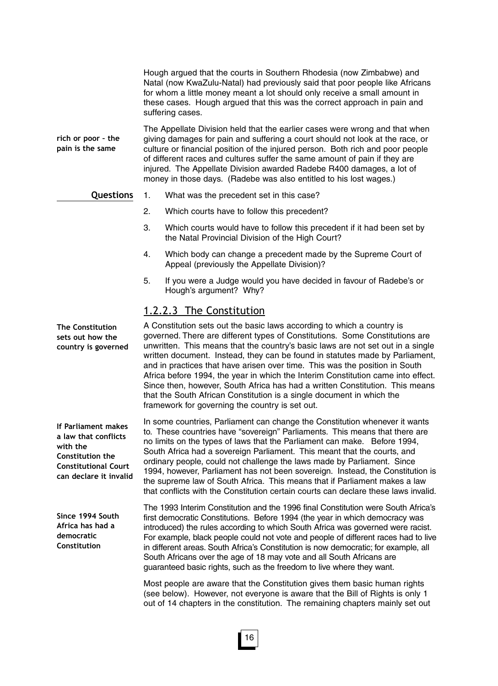Hough argued that the courts in Southern Rhodesia (now Zimbabwe) and Natal (now KwaZulu-Natal) had previously said that poor people like Africans for whom a little money meant a lot should only receive a small amount in these cases. Hough argued that this was the correct approach in pain and suffering cases.

The Appellate Division held that the earlier cases were wrong and that when giving damages for pain and suffering a court should not look at the race, or culture or financial position of the injured person. Both rich and poor people of different races and cultures suffer the same amount of pain if they are injured. The Appellate Division awarded Radebe R400 damages, a lot of money in those days. (Radebe was also entitled to his lost wages.) **rich or poor – the pain is the same**

#### **Questions**

- 1. What was the precedent set in this case?
	- 2. Which courts have to follow this precedent?
	- 3. Which courts would have to follow this precedent if it had been set by the Natal Provincial Division of the High Court?
	- 4. Which body can change a precedent made by the Supreme Court of Appeal (previously the Appellate Division)?
	- 5. If you were a Judge would you have decided in favour of Radebe's or Hough's argument? Why?

#### 1.2.2.3 The Constitution

A Constitution sets out the basic laws according to which a country is governed. There are different types of Constitutions. Some Constitutions are unwritten. This means that the country's basic laws are not set out in a single written document. Instead, they can be found in statutes made by Parliament, and in practices that have arisen over time. This was the position in South Africa before 1994, the year in which the Interim Constitution came into effect. Since then, however, South Africa has had a written Constitution. This means that the South African Constitution is a single document in which the framework for governing the country is set out.

In some countries, Parliament can change the Constitution whenever it wants to. These countries have "sovereign" Parliaments. This means that there are no limits on the types of laws that the Parliament can make. Before 1994, South Africa had a sovereign Parliament. This meant that the courts, and ordinary people, could not challenge the laws made by Parliament. Since 1994, however, Parliament has not been sovereign. Instead, the Constitution is the supreme law of South Africa. This means that if Parliament makes a law that conflicts with the Constitution certain courts can declare these laws invalid.

The 1993 Interim Constitution and the 1996 final Constitution were South Africa's first democratic Constitutions. Before 1994 (the year in which democracy was introduced) the rules according to which South Africa was governed were racist. For example, black people could not vote and people of different races had to live in different areas. South Africa's Constitution is now democratic; for example, all South Africans over the age of 18 may vote and all South Africans are guaranteed basic rights, such as the freedom to live where they want.

Most people are aware that the Constitution gives them basic human rights (see below). However, not everyone is aware that the Bill of Rights is only 1 out of 14 chapters in the constitution. The remaining chapters mainly set out

**The Constitution sets out how the country is governed**

**If Parliament makes a law that conflicts with the Constitution the Constitutional Court can declare it invalid**

**Since 1994 South Africa has had a democratic Constitution**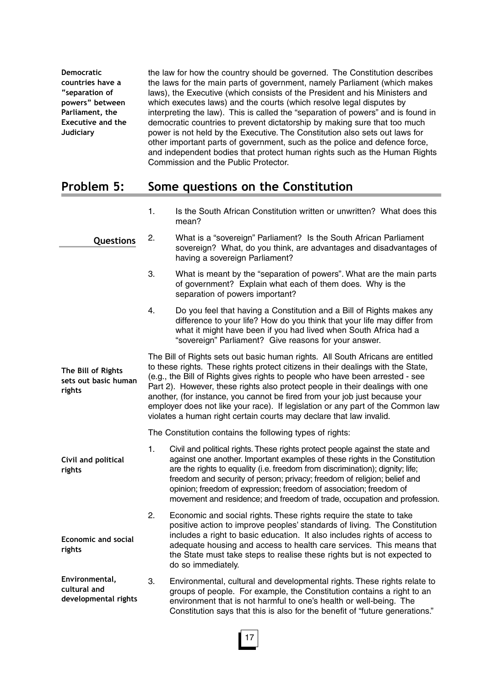| <b>Democratic</b>        | the law for how the country should be governed. The Constitution describes       |
|--------------------------|----------------------------------------------------------------------------------|
| countries have a         | the laws for the main parts of government, namely Parliament (which makes        |
| "separation of           | laws), the Executive (which consists of the President and his Ministers and      |
| powers" between          | which executes laws) and the courts (which resolve legal disputes by             |
| Parliament, the          | interpreting the law). This is called the "separation of powers" and is found in |
| <b>Executive and the</b> | democratic countries to prevent dictatorship by making sure that too much        |
| Judiciary                | power is not held by the Executive. The Constitution also sets out laws for      |
|                          | other important parts of government, such as the police and defence force,       |
|                          | and independent bodies that protect human rights such as the Human Rights        |
|                          | Commission and the Public Protector.                                             |

## **Problem 5: Some questions on the Constitution**

|                                                      | 1. | Is the South African Constitution written or unwritten? What does this<br>mean?                                                                                                                                                                                                                                                                                                                                                                                                                                                                                                |
|------------------------------------------------------|----|--------------------------------------------------------------------------------------------------------------------------------------------------------------------------------------------------------------------------------------------------------------------------------------------------------------------------------------------------------------------------------------------------------------------------------------------------------------------------------------------------------------------------------------------------------------------------------|
| Questions                                            | 2. | What is a "sovereign" Parliament? Is the South African Parliament<br>sovereign? What, do you think, are advantages and disadvantages of<br>having a sovereign Parliament?                                                                                                                                                                                                                                                                                                                                                                                                      |
|                                                      | 3. | What is meant by the "separation of powers". What are the main parts<br>of government? Explain what each of them does. Why is the<br>separation of powers important?                                                                                                                                                                                                                                                                                                                                                                                                           |
|                                                      | 4. | Do you feel that having a Constitution and a Bill of Rights makes any<br>difference to your life? How do you think that your life may differ from<br>what it might have been if you had lived when South Africa had a<br>"sovereign" Parliament? Give reasons for your answer.                                                                                                                                                                                                                                                                                                 |
| The Bill of Rights<br>sets out basic human<br>rights |    | The Bill of Rights sets out basic human rights. All South Africans are entitled<br>to these rights. These rights protect citizens in their dealings with the State,<br>(e.g., the Bill of Rights gives rights to people who have been arrested - see<br>Part 2). However, these rights also protect people in their dealings with one<br>another, (for instance, you cannot be fired from your job just because your<br>employer does not like your race). If legislation or any part of the Common law<br>violates a human right certain courts may declare that law invalid. |
|                                                      |    | The Constitution contains the following types of rights:                                                                                                                                                                                                                                                                                                                                                                                                                                                                                                                       |
| Civil and political<br>rights                        | 1. | Civil and political rights. These rights protect people against the state and<br>against one another. Important examples of these rights in the Constitution<br>are the rights to equality (i.e. freedom from discrimination); dignity; life;<br>freedom and security of person; privacy; freedom of religion; belief and<br>opinion; freedom of expression; freedom of association; freedom of<br>movement and residence; and freedom of trade, occupation and profession.                                                                                                    |
| <b>Economic and social</b><br>rights                 | 2. | Economic and social rights. These rights require the state to take<br>positive action to improve peoples' standards of living. The Constitution<br>includes a right to basic education. It also includes rights of access to<br>adequate housing and access to health care services. This means that<br>the State must take steps to realise these rights but is not expected to<br>do so immediately.                                                                                                                                                                         |
| Environmental,                                       | 3. | Environmental, cultural and developmental rights. These rights relate to                                                                                                                                                                                                                                                                                                                                                                                                                                                                                                       |

3. Environmental, cultural and developmental rights. These rights relate to groups of people. For example, the Constitution contains a right to an environment that is not harmful to one's health or well-being. The Constitution says that this is also for the benefit of "future generations." **cultural and developmental rights**

17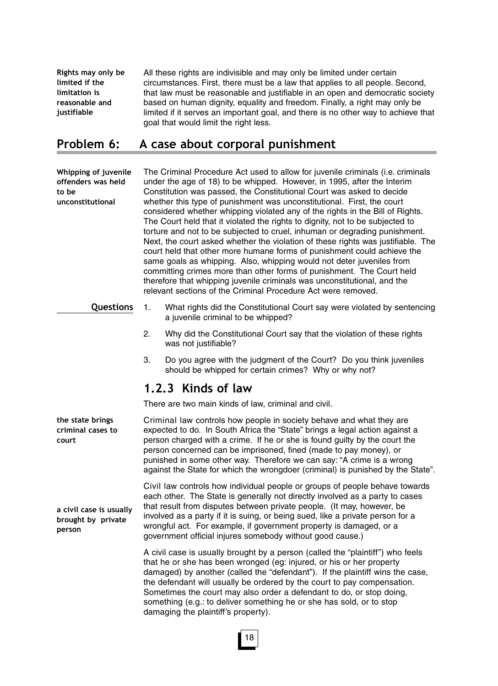All these rights are indivisible and may only be limited under certain circumstances. First, there must be a law that applies to all people. Second, that law must be reasonable and justifiable in an open and democratic society based on human dignity, equality and freedom. Finally, a right may only be limited if it serves an important goal, and there is no other way to achieve that goal that would limit the right less. **Rights may only be limited if the limitation is reasonable and justifiable**

## **Problem 6: A case about corporal punishment**

The Criminal Procedure Act used to allow for juvenile criminals (i.e. criminals under the age of 18) to be whipped. However, in 1995, after the Interim Constitution was passed, the Constitutional Court was asked to decide whether this type of punishment was unconstitutional. First, the court considered whether whipping violated any of the rights in the Bill of Rights. The Court held that it violated the rights to dignity, not to be subjected to torture and not to be subjected to cruel, inhuman or degrading punishment. Next, the court asked whether the violation of these rights was justifiable. The court held that other more humane forms of punishment could achieve the same goals as whipping. Also, whipping would not deter juveniles from committing crimes more than other forms of punishment. The Court held therefore that whipping juvenile criminals was unconstitutional, and the relevant sections of the Criminal Procedure Act were removed. **Whipping of juvenile offenders was held to be unconstitutional**

- **Questions**
- 1. What rights did the Constitutional Court say were violated by sentencing a juvenile criminal to be whipped?
- 2. Why did the Constitutional Court say that the violation of these rights was not justifiable?
- 3. Do you agree with the judgment of the Court? Do you think juveniles should be whipped for certain crimes? Why or why not?

## **1.2.3 Kinds of law**

There are two main kinds of law, criminal and civil.

Criminal law controls how people in society behave and what they are expected to do. In South Africa the "State" brings a legal action against a person charged with a crime. If he or she is found guilty by the court the person concerned can be imprisoned, fined (made to pay money), or punished in some other way. Therefore we can say: "A crime is a wrong against the State for which the wrongdoer (criminal) is punished by the State". **the state brings criminal cases to**

> Civil law controls how individual people or groups of people behave towards each other. The State is generally not directly involved as a party to cases that result from disputes between private people. (It may, however, be involved as a party if it is suing, or being sued, like a private person for a wrongful act. For example, if government property is damaged, or a government official injures somebody without good cause.)

A civil case is usually brought by a person (called the "plaintiff") who feels that he or she has been wronged (eg: injured, or his or her property damaged) by another (called the "defendant"). If the plaintiff wins the case, the defendant will usually be ordered by the court to pay compensation. Sometimes the court may also order a defendant to do, or stop doing, something (e.g.: to deliver something he or she has sold, or to stop damaging the plaintiff's property).

**court**

**a civil case is usually brought by private person**

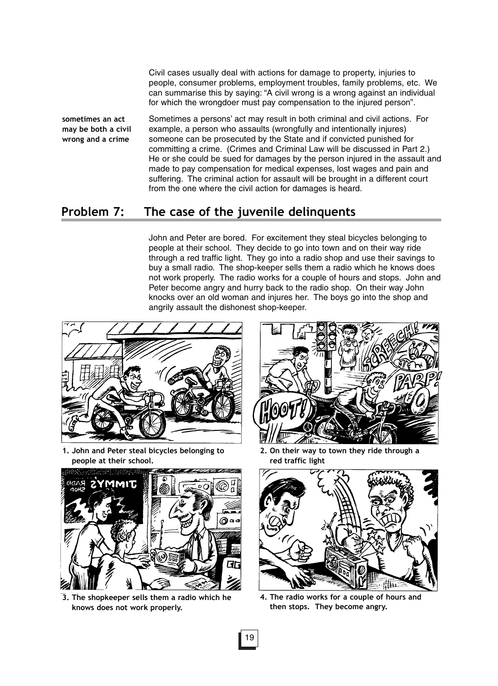Civil cases usually deal with actions for damage to property, injuries to people, consumer problems, employment troubles, family problems, etc. We can summarise this by saying: "A civil wrong is a wrong against an individual for which the wrongdoer must pay compensation to the injured person".

**sometimes an act may be both a civil wrong and a crime**

Sometimes a persons' act may result in both criminal and civil actions. For example, a person who assaults (wrongfully and intentionally injures) someone can be prosecuted by the State and if convicted punished for committing a crime. (Crimes and Criminal Law will be discussed in Part 2.) He or she could be sued for damages by the person injured in the assault and made to pay compensation for medical expenses, lost wages and pain and suffering. The criminal action for assault will be brought in a different court from the one where the civil action for damages is heard.

## **Problem 7: The case of the juvenile delinquents**

John and Peter are bored. For excitement they steal bicycles belonging to people at their school. They decide to go into town and on their way ride through a red traffic light. They go into a radio shop and use their savings to buy a small radio. The shop-keeper sells them a radio which he knows does not work properly. The radio works for a couple of hours and stops. John and Peter become angry and hurry back to the radio shop. On their way John knocks over an old woman and injures her. The boys go into the shop and angrily assault the dishonest shop-keeper.



**1. John and Peter steal bicycles belonging to people at their school.**



**3. The shopkeeper sells them a radio which he knows does not work properly.**



**2. On their way to town they ride through a red traffic light**



**4. The radio works for a couple of hours and then stops. They become angry.**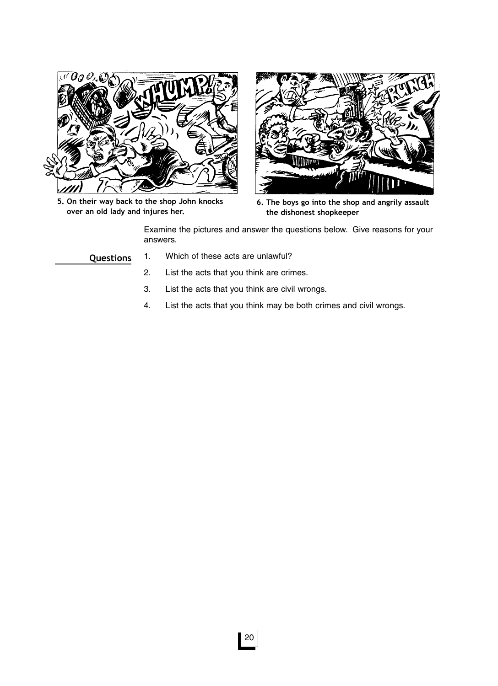

**5. On their way back to the shop John knocks over an old lady and injures her.**



**6. The boys go into the shop and angrily assault the dishonest shopkeeper**

Examine the pictures and answer the questions below. Give reasons for your answers.

**Questions**

- 1. Which of these acts are unlawful?
	- 2. List the acts that you think are crimes.
	- 3. List the acts that you think are civil wrongs.
	- 4. List the acts that you think may be both crimes and civil wrongs.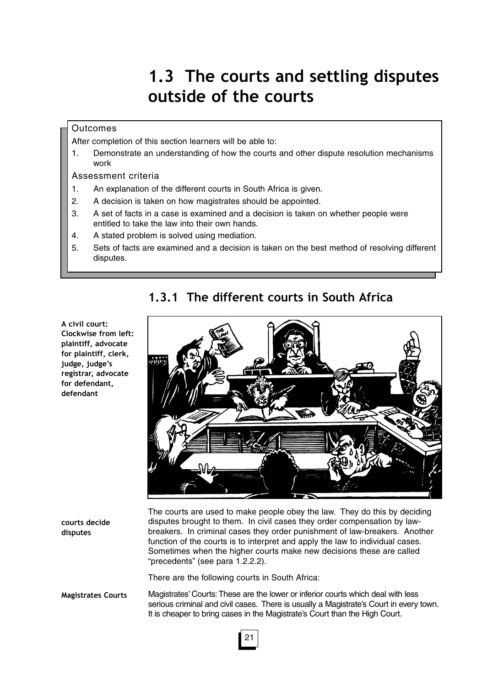# **1.3 The courts and settling disputes outside of the courts**

#### **Outcomes**

After completion of this section learners will be able to:

1. Demonstrate an understanding of how the courts and other dispute resolution mechanisms work

#### Assessment criteria

- 1. An explanation of the different courts in South Africa is given.
- 2. A decision is taken on how magistrates should be appointed.
- 3. A set of facts in a case is examined and a decision is taken on whether people were entitled to take the law into their own hands.
- 4. A stated problem is solved using mediation.
- 5. Sets of facts are examined and a decision is taken on the best method of resolving different disputes.

## **1.3.1 The different courts in South Africa**

**courts decide disputes**

**A civil court:**

**Clockwise from left: plaintiff, advocate for plaintiff, clerk, judge, judge's registrar, advocate for defendant, defendant** 

> The courts are used to make people obey the law. They do this by deciding disputes brought to them. In civil cases they order compensation by lawbreakers. In criminal cases they order punishment of law-breakers. Another function of the courts is to interpret and apply the law to individual cases. Sometimes when the higher courts make new decisions these are called "precedents" (see para 1.2.2.2).

There are the following courts in South Africa:

**Magistrates Courts** Magistrates' Courts: These are the lower or inferior courts which deal with less serious criminal and civil cases. There is usually a Magistrate's Court in every town. It is cheaper to bring cases in the Magistrate's Court than the High Court.

## 21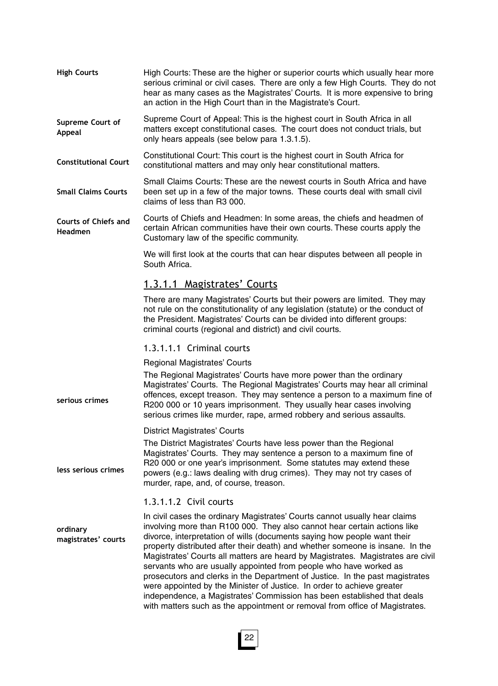High Courts: These are the higher or superior courts which usually hear more serious criminal or civil cases. There are only a few High Courts. They do not hear as many cases as the Magistrates' Courts. It is more expensive to bring an action in the High Court than in the Magistrate's Court. **High Courts**

Supreme Court of Appeal: This is the highest court in South Africa in all matters except constitutional cases. The court does not conduct trials, but only hears appeals (see below para 1.3.1.5). **Supreme Court of Appeal**

Constitutional Court: This court is the highest court in South Africa for constitutional matters and may only hear constitutional matters. **Constitutional Court**

Small Claims Courts: These are the newest courts in South Africa and have been set up in a few of the major towns. These courts deal with small civil claims of less than R3 000. **Small Claims Courts**

Courts of Chiefs and Headmen: In some areas, the chiefs and headmen of certain African communities have their own courts. These courts apply the Customary law of the specific community. **Courts of Chiefs and Headmen**

> We will first look at the courts that can hear disputes between all people in South Africa.

#### 1.3.1.1 Magistrates' Courts

There are many Magistrates' Courts but their powers are limited. They may not rule on the constitutionality of any legislation (statute) or the conduct of the President. Magistrates' Courts can be divided into different groups: criminal courts (regional and district) and civil courts.

#### 1.3.1.1.1 Criminal courts

Regional Magistrates' Courts

The Regional Magistrates' Courts have more power than the ordinary Magistrates' Courts. The Regional Magistrates' Courts may hear all criminal offences, except treason. They may sentence a person to a maximum fine of R200 000 or 10 years imprisonment. They usually hear cases involving serious crimes like murder, rape, armed robbery and serious assaults.

District Magistrates' Courts

**serious crimes**

**less serious crimes**

The District Magistrates' Courts have less power than the Regional Magistrates' Courts. They may sentence a person to a maximum fine of R20 000 or one year's imprisonment. Some statutes may extend these powers (e.g.: laws dealing with drug crimes). They may not try cases of murder, rape, and, of course, treason.

#### 1.3.1.1.2 Civil courts

In civil cases the ordinary Magistrates' Courts cannot usually hear claims involving more than R100 000. They also cannot hear certain actions like divorce, interpretation of wills (documents saying how people want their property distributed after their death) and whether someone is insane. In the Magistrates' Courts all matters are heard by Magistrates. Magistrates are civil servants who are usually appointed from people who have worked as prosecutors and clerks in the Department of Justice. In the past magistrates were appointed by the Minister of Justice. In order to achieve greater independence, a Magistrates' Commission has been established that deals with matters such as the appointment or removal from office of Magistrates. **ordinary magistrates' courts**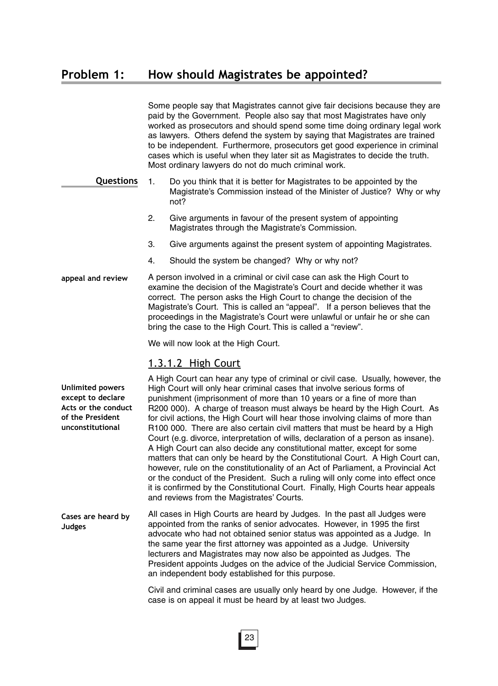Some people say that Magistrates cannot give fair decisions because they are paid by the Government. People also say that most Magistrates have only worked as prosecutors and should spend some time doing ordinary legal work as lawyers. Others defend the system by saying that Magistrates are trained to be independent. Furthermore, prosecutors get good experience in criminal cases which is useful when they later sit as Magistrates to decide the truth. Most ordinary lawyers do not do much criminal work.

- 1. Do you think that it is better for Magistrates to be appointed by the Magistrate's Commission instead of the Minister of Justice? Why or why not? **Questions**
	- 2. Give arguments in favour of the present system of appointing Magistrates through the Magistrate's Commission.
	- 3. Give arguments against the present system of appointing Magistrates.
	- 4. Should the system be changed? Why or why not?
- A person involved in a criminal or civil case can ask the High Court to examine the decision of the Magistrate's Court and decide whether it was correct. The person asks the High Court to change the decision of the Magistrate's Court. This is called an "appeal". If a person believes that the proceedings in the Magistrate's Court were unlawful or unfair he or she can bring the case to the High Court. This is called a "review". **appeal and review**

We will now look at the High Court.

#### 1.3.1.2 High Court

**Unlimited powers except to declare Acts or the conduct of the President unconstitutional**

A High Court can hear any type of criminal or civil case. Usually, however, the High Court will only hear criminal cases that involve serious forms of punishment (imprisonment of more than 10 years or a fine of more than R200 000). A charge of treason must always be heard by the High Court. As for civil actions, the High Court will hear those involving claims of more than R100 000. There are also certain civil matters that must be heard by a High Court (e.g. divorce, interpretation of wills, declaration of a person as insane). A High Court can also decide any constitutional matter, except for some matters that can only be heard by the Constitutional Court. A High Court can, however, rule on the constitutionality of an Act of Parliament, a Provincial Act or the conduct of the President. Such a ruling will only come into effect once it is confirmed by the Constitutional Court. Finally, High Courts hear appeals and reviews from the Magistrates' Courts.

All cases in High Courts are heard by Judges. In the past all Judges were appointed from the ranks of senior advocates. However, in 1995 the first advocate who had not obtained senior status was appointed as a Judge. In the same year the first attorney was appointed as a Judge. University lecturers and Magistrates may now also be appointed as Judges. The President appoints Judges on the advice of the Judicial Service Commission, an independent body established for this purpose. **Cases are heard by Judges**

> Civil and criminal cases are usually only heard by one Judge. However, if the case is on appeal it must be heard by at least two Judges.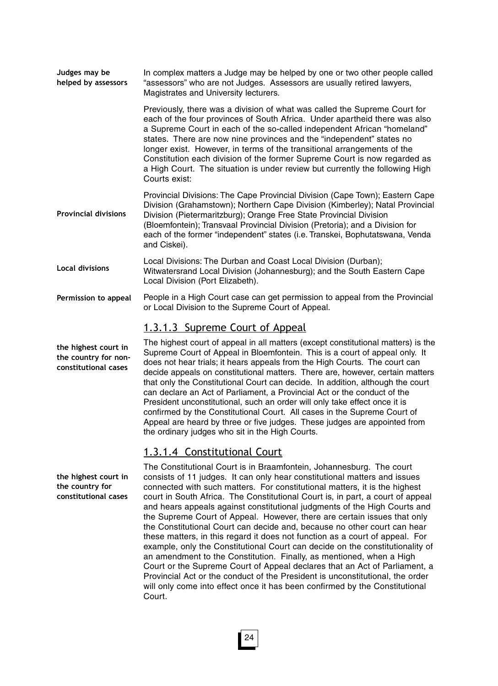| Judges may be<br>helped by assessors | In complex matters a Judge may be helped by one or two other people called<br>"assessors" who are not Judges. Assessors are usually retired lawyers,<br>Magistrates and University lecturers.                                                                                                                                                                                                                                                                                                                                                                       |
|--------------------------------------|---------------------------------------------------------------------------------------------------------------------------------------------------------------------------------------------------------------------------------------------------------------------------------------------------------------------------------------------------------------------------------------------------------------------------------------------------------------------------------------------------------------------------------------------------------------------|
|                                      | Previously, there was a division of what was called the Supreme Court for<br>each of the four provinces of South Africa. Under apartheid there was also<br>a Supreme Court in each of the so-called independent African "homeland"<br>states. There are now nine provinces and the "independent" states no<br>longer exist. However, in terms of the transitional arrangements of the<br>Constitution each division of the former Supreme Court is now regarded as<br>a High Court. The situation is under review but currently the following High<br>Courts exist: |
| <b>Provincial divisions</b>          | Provincial Divisions: The Cape Provincial Division (Cape Town); Eastern Cape<br>Division (Grahamstown); Northern Cape Division (Kimberley); Natal Provincial<br>Division (Pietermaritzburg); Orange Free State Provincial Division<br>(Bloemfontein); Transvaal Provincial Division (Pretoria); and a Division for<br>each of the former "independent" states (i.e. Transkei, Bophutatswana, Venda<br>and Ciskei).                                                                                                                                                  |
| <b>Local divisions</b>               | Local Divisions: The Durban and Coast Local Division (Durban);<br>Witwatersrand Local Division (Johannesburg); and the South Eastern Cape<br>Local Division (Port Elizabeth).                                                                                                                                                                                                                                                                                                                                                                                       |
| Permission to appeal                 | People in a High Court case can get permission to appeal from the Provincial<br>or Local Division to the Supreme Court of Appeal.                                                                                                                                                                                                                                                                                                                                                                                                                                   |
|                                      | <u>1.3.1.3 Supreme Court of Appeal</u>                                                                                                                                                                                                                                                                                                                                                                                                                                                                                                                              |

**the highest court in the country for nonconstitutional cases**

The highest court of appeal in all matters (except constitutional matters) is the Supreme Court of Appeal in Bloemfontein. This is a court of appeal only. It does not hear trials; it hears appeals from the High Courts. The court can decide appeals on constitutional matters. There are, however, certain matters that only the Constitutional Court can decide. In addition, although the court can declare an Act of Parliament, a Provincial Act or the conduct of the President unconstitutional, such an order will only take effect once it is confirmed by the Constitutional Court. All cases in the Supreme Court of Appeal are heard by three or five judges. These judges are appointed from the ordinary judges who sit in the High Courts.

## 1.3.1.4 Constitutional Court

The Constitutional Court is in Braamfontein, Johannesburg. The court consists of 11 judges. It can only hear constitutional matters and issues connected with such matters. For constitutional matters, it is the highest court in South Africa. The Constitutional Court is, in part, a court of appeal and hears appeals against constitutional judgments of the High Courts and the Supreme Court of Appeal. However, there are certain issues that only the Constitutional Court can decide and, because no other court can hear these matters, in this regard it does not function as a court of appeal. For example, only the Constitutional Court can decide on the constitutionality of an amendment to the Constitution. Finally, as mentioned, when a High Court or the Supreme Court of Appeal declares that an Act of Parliament, a Provincial Act or the conduct of the President is unconstitutional, the order will only come into effect once it has been confirmed by the Constitutional Court.

**the highest court in the country for constitutional cases**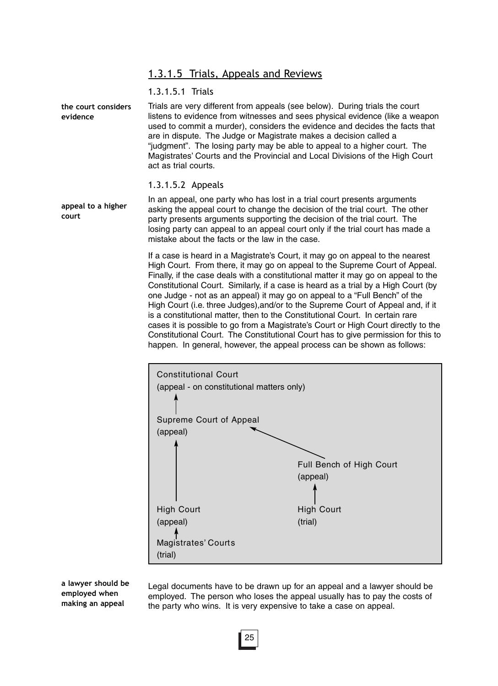#### 1.3.1.5 Trials, Appeals and Reviews

#### 1.3.1.5.1 Trials

Trials are very different from appeals (see below). During trials the court listens to evidence from witnesses and sees physical evidence (like a weapon used to commit a murder), considers the evidence and decides the facts that are in dispute. The Judge or Magistrate makes a decision called a "judgment". The losing party may be able to appeal to a higher court. The Magistrates' Courts and the Provincial and Local Divisions of the High Court act as trial courts. **the court considers evidence**

#### 1.3.1.5.2 Appeals

In an appeal, one party who has lost in a trial court presents arguments asking the appeal court to change the decision of the trial court. The other party presents arguments supporting the decision of the trial court. The losing party can appeal to an appeal court only if the trial court has made a mistake about the facts or the law in the case. **appeal to a higher court**

> If a case is heard in a Magistrate's Court, it may go on appeal to the nearest High Court. From there, it may go on appeal to the Supreme Court of Appeal. Finally, if the case deals with a constitutional matter it may go on appeal to the Constitutional Court. Similarly, if a case is heard as a trial by a High Court (by one Judge - not as an appeal) it may go on appeal to a "Full Bench" of the High Court (i.e. three Judges),and/or to the Supreme Court of Appeal and, if it is a constitutional matter, then to the Constitutional Court. In certain rare cases it is possible to go from a Magistrate's Court or High Court directly to the Constitutional Court. The Constitutional Court has to give permission for this to happen. In general, however, the appeal process can be shown as follows:



**a lawyer should be employed when making an appeal**

Legal documents have to be drawn up for an appeal and a lawyer should be employed. The person who loses the appeal usually has to pay the costs of the party who wins. It is very expensive to take a case on appeal.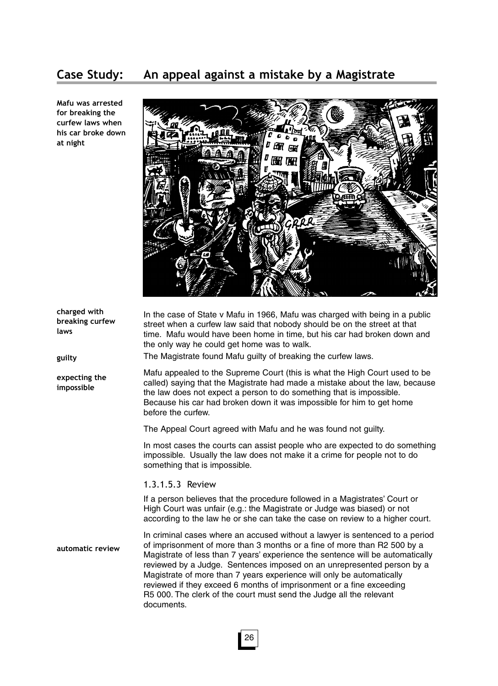# **Case Study: An appeal against a mistake by a Magistrate**

**Mafu was arrested for breaking the curfew laws when his car broke down at night**



| charged with<br>breaking curfew<br>laws<br>guilty | In the case of State v Mafu in 1966, Mafu was charged with being in a public<br>street when a curfew law said that nobody should be on the street at that<br>time. Mafu would have been home in time, but his car had broken down and<br>the only way he could get home was to walk.<br>The Magistrate found Mafu guilty of breaking the curfew laws.                                                                                                                                                                                                      |  |
|---------------------------------------------------|------------------------------------------------------------------------------------------------------------------------------------------------------------------------------------------------------------------------------------------------------------------------------------------------------------------------------------------------------------------------------------------------------------------------------------------------------------------------------------------------------------------------------------------------------------|--|
| expecting the<br>impossible                       | Mafu appealed to the Supreme Court (this is what the High Court used to be<br>called) saying that the Magistrate had made a mistake about the law, because<br>the law does not expect a person to do something that is impossible.<br>Because his car had broken down it was impossible for him to get home<br>before the curfew.                                                                                                                                                                                                                          |  |
|                                                   | The Appeal Court agreed with Mafu and he was found not guilty.                                                                                                                                                                                                                                                                                                                                                                                                                                                                                             |  |
|                                                   | In most cases the courts can assist people who are expected to do something<br>impossible. Usually the law does not make it a crime for people not to do<br>something that is impossible.                                                                                                                                                                                                                                                                                                                                                                  |  |
|                                                   | 1.3.1.5.3 Review                                                                                                                                                                                                                                                                                                                                                                                                                                                                                                                                           |  |
|                                                   | If a person believes that the procedure followed in a Magistrates' Court or<br>High Court was unfair (e.g.: the Magistrate or Judge was biased) or not<br>according to the law he or she can take the case on review to a higher court.                                                                                                                                                                                                                                                                                                                    |  |
| automatic review                                  | In criminal cases where an accused without a lawyer is sentenced to a period<br>of imprisonment of more than 3 months or a fine of more than R2 500 by a<br>Magistrate of less than 7 years' experience the sentence will be automatically<br>reviewed by a Judge. Sentences imposed on an unrepresented person by a<br>Magistrate of more than 7 years experience will only be automatically<br>reviewed if they exceed 6 months of imprisonment or a fine exceeding<br>R5 000. The clerk of the court must send the Judge all the relevant<br>documents. |  |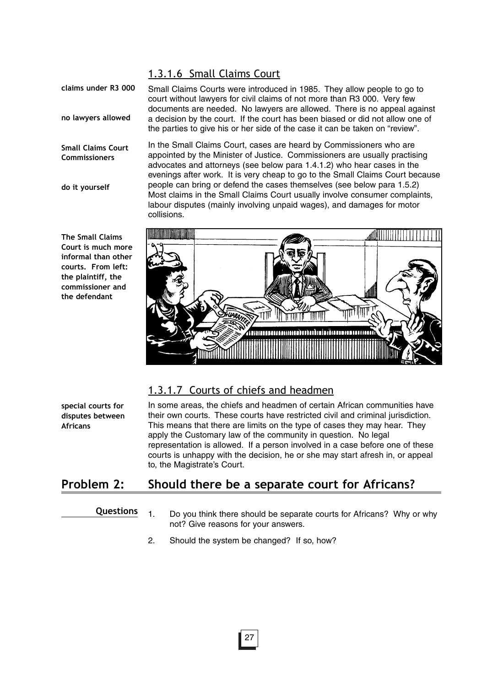#### 1.3.1.6 Small Claims Court

**claims under R3 000**

**no lawyers allowed**

**Small Claims Court Commissioners**

**do it yourself**

**The Small Claims Court is much more informal than other courts. From left: the plaintiff, the commissioner and the defendant**

Small Claims Courts were introduced in 1985. They allow people to go to court without lawyers for civil claims of not more than R3 000. Very few documents are needed. No lawyers are allowed. There is no appeal against a decision by the court. If the court has been biased or did not allow one of the parties to give his or her side of the case it can be taken on "review".

In the Small Claims Court, cases are heard by Commissioners who are appointed by the Minister of Justice. Commissioners are usually practising advocates and attorneys (see below para 1.4.1.2) who hear cases in the evenings after work. It is very cheap to go to the Small Claims Court because people can bring or defend the cases themselves (see below para 1.5.2) Most claims in the Small Claims Court usually involve consumer complaints, labour disputes (mainly involving unpaid wages), and damages for motor collisions.



## 1.3.1.7 Courts of chiefs and headmen

**special courts for disputes between Africans**

In some areas, the chiefs and headmen of certain African communities have their own courts. These courts have restricted civil and criminal jurisdiction. This means that there are limits on the type of cases they may hear. They apply the Customary law of the community in question. No legal representation is allowed. If a person involved in a case before one of these courts is unhappy with the decision, he or she may start afresh in, or appeal to, the Magistrate's Court.

## **Problem 2: Should there be a separate court for Africans?**

#### **Questions**

- 1. Do you think there should be separate courts for Africans? Why or why not? Give reasons for your answers.
- 2. Should the system be changed? If so, how?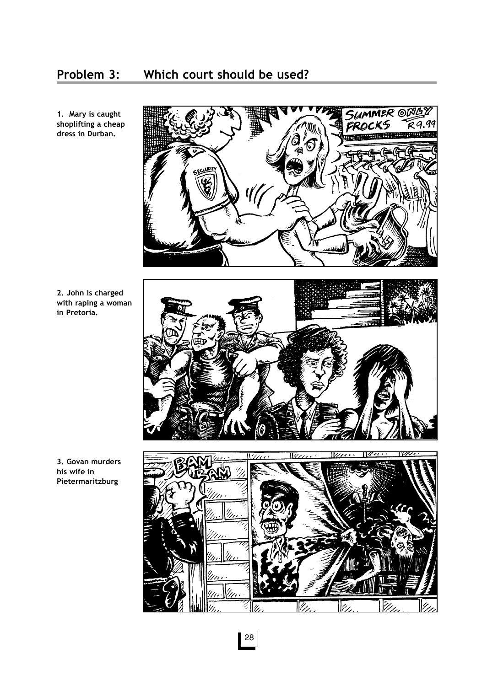## **Problem 3: Which court should be used?**



**1. Mary is caught shoplifting a cheap dress in Durban.** 

**2. John is charged with raping a woman in Pretoria.** 

**3. Govan murders his wife in Pietermaritzburg**



28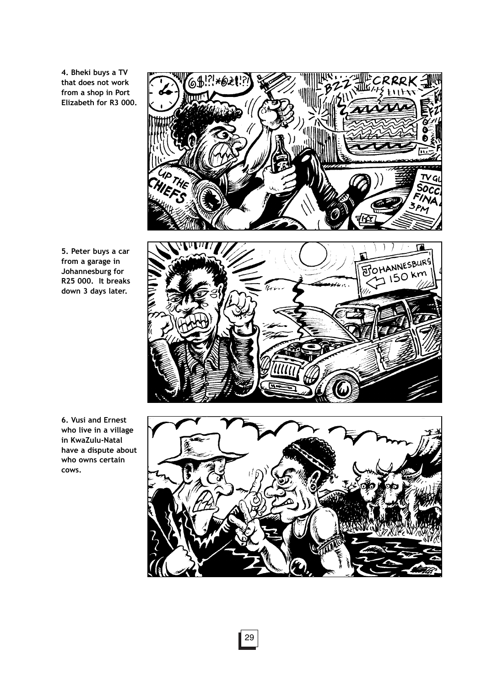**4. Bheki buys a TV that does not work from a shop in Port Elizabeth for R3 000.** 

6\$1? \* 62

UP THE

OHANNESBURG त्र

 $\boldsymbol{p}$ 

G.

VA PM

**5. Peter buys a car from a garage in Johannesburg for R25 000. It breaks down 3 days later.** 

**6. Vusi and Ernest who live in a village in KwaZulu-Natal have a dispute about who owns certain cows.**

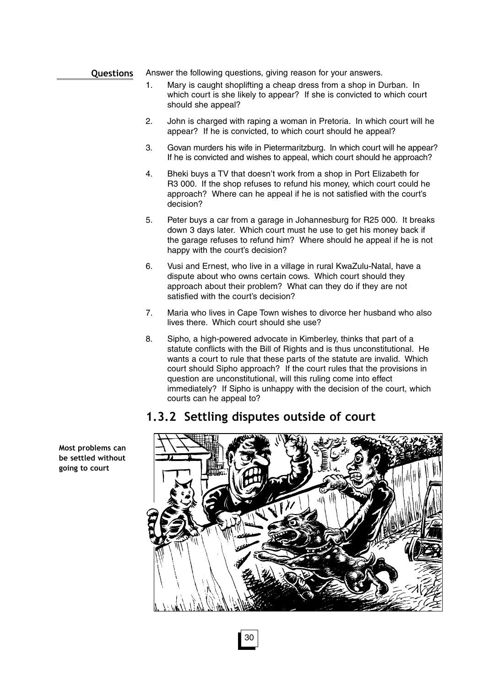#### Answer the following questions, giving reason for your answers. **Questions**

- 1. Mary is caught shoplifting a cheap dress from a shop in Durban. In which court is she likely to appear? If she is convicted to which court should she appeal?
- 2. John is charged with raping a woman in Pretoria. In which court will he appear? If he is convicted, to which court should he appeal?
- 3. Govan murders his wife in Pietermaritzburg. In which court will he appear? If he is convicted and wishes to appeal, which court should he approach?
- 4. Bheki buys a TV that doesn't work from a shop in Port Elizabeth for R3 000. If the shop refuses to refund his money, which court could he approach? Where can he appeal if he is not satisfied with the court's decision?
- 5. Peter buys a car from a garage in Johannesburg for R25 000. It breaks down 3 days later. Which court must he use to get his money back if the garage refuses to refund him? Where should he appeal if he is not happy with the court's decision?
- 6. Vusi and Ernest, who live in a village in rural KwaZulu-Natal, have a dispute about who owns certain cows. Which court should they approach about their problem? What can they do if they are not satisfied with the court's decision?
- 7. Maria who lives in Cape Town wishes to divorce her husband who also lives there. Which court should she use?
- 8. Sipho, a high-powered advocate in Kimberley, thinks that part of a statute conflicts with the Bill of Rights and is thus unconstitutional. He wants a court to rule that these parts of the statute are invalid. Which court should Sipho approach? If the court rules that the provisions in question are unconstitutional, will this ruling come into effect immediately? If Sipho is unhappy with the decision of the court, which courts can he appeal to?

## **1.3.2 Settling disputes outside of court**



**Most problems can be settled without going to court**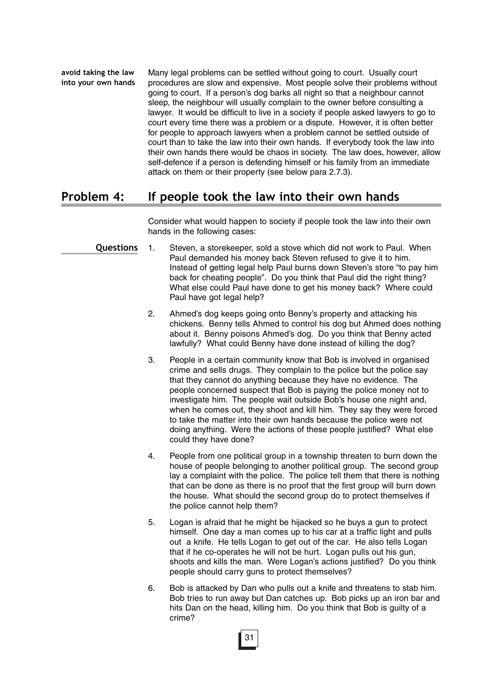Many legal problems can be settled without going to court. Usually court procedures are slow and expensive. Most people solve their problems without going to court. If a person's dog barks all night so that a neighbour cannot sleep, the neighbour will usually complain to the owner before consulting a lawyer. It would be difficult to live in a society if people asked lawyers to go to court every time there was a problem or a dispute. However, it is often better for people to approach lawyers when a problem cannot be settled outside of court than to take the law into their own hands. If everybody took the law into their own hands there would be chaos in society. The law does, however, allow self-defence if a person is defending himself or his family from an immediate attack on them or their property (see below para 2.7.3). **avoid taking the law into your own hands**

## **Problem 4: If people took the law into their own hands**

Consider what would happen to society if people took the law into their own hands in the following cases:

- 1. Steven, a storekeeper, sold a stove which did not work to Paul. When Paul demanded his money back Steven refused to give it to him. Instead of getting legal help Paul burns down Steven's store "to pay him back for cheating people". Do you think that Paul did the right thing? What else could Paul have done to get his money back? Where could Paul have got legal help? **Questions**
	- 2. Ahmed's dog keeps going onto Benny's property and attacking his chickens. Benny tells Ahmed to control his dog but Ahmed does nothing about it. Benny poisons Ahmed's dog. Do you think that Benny acted lawfully? What could Benny have done instead of killing the dog?
	- 3. People in a certain community know that Bob is involved in organised crime and sells drugs. They complain to the police but the police say that they cannot do anything because they have no evidence. The people concerned suspect that Bob is paying the police money not to investigate him. The people wait outside Bob's house one night and, when he comes out, they shoot and kill him. They say they were forced to take the matter into their own hands because the police were not doing anything. Were the actions of these people justified? What else could they have done?
	- 4. People from one political group in a township threaten to burn down the house of people belonging to another political group. The second group lay a complaint with the police. The police tell them that there is nothing that can be done as there is no proof that the first group will burn down the house. What should the second group do to protect themselves if the police cannot help them?
	- 5. Logan is afraid that he might be hijacked so he buys a gun to protect himself. One day a man comes up to his car at a traffic light and pulls out a knife. He tells Logan to get out of the car. He also tells Logan that if he co-operates he will not be hurt. Logan pulls out his gun, shoots and kills the man. Were Logan's actions justified? Do you think people should carry guns to protect themselves?
	- 6. Bob is attacked by Dan who pulls out a knife and threatens to stab him. Bob tries to run away but Dan catches up. Bob picks up an iron bar and hits Dan on the head, killing him. Do you think that Bob is guilty of a crime?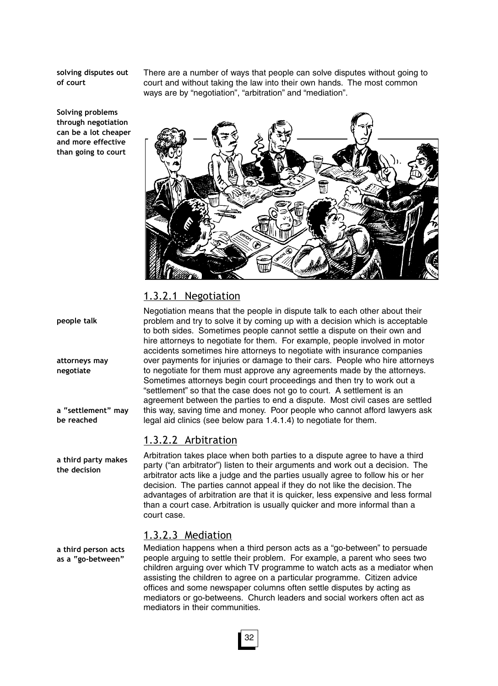**solving disputes out of court**

**Solving problems through negotiation can be a lot cheaper and more effective than going to court**

There are a number of ways that people can solve disputes without going to court and without taking the law into their own hands. The most common ways are by "negotiation", "arbitration" and "mediation".



#### 1.3.2.1 Negotiation

Negotiation means that the people in dispute talk to each other about their problem and try to solve it by coming up with a decision which is acceptable to both sides. Sometimes people cannot settle a dispute on their own and hire attorneys to negotiate for them. For example, people involved in motor accidents sometimes hire attorneys to negotiate with insurance companies over payments for injuries or damage to their cars. People who hire attorneys to negotiate for them must approve any agreements made by the attorneys. Sometimes attorneys begin court proceedings and then try to work out a "settlement" so that the case does not go to court. A settlement is an agreement between the parties to end a dispute. Most civil cases are settled this way, saving time and money. Poor people who cannot afford lawyers ask legal aid clinics (see below para 1.4.1.4) to negotiate for them.

#### 1.3.2.2 Arbitration

Arbitration takes place when both parties to a dispute agree to have a third party ("an arbitrator") listen to their arguments and work out a decision. The arbitrator acts like a judge and the parties usually agree to follow his or her decision. The parties cannot appeal if they do not like the decision. The advantages of arbitration are that it is quicker, less expensive and less formal than a court case. Arbitration is usually quicker and more informal than a court case.

#### 1.3.2.3 Mediation

Mediation happens when a third person acts as a "go-between" to persuade people arguing to settle their problem. For example, a parent who sees two children arguing over which TV programme to watch acts as a mediator when assisting the children to agree on a particular programme. Citizen advice offices and some newspaper columns often settle disputes by acting as mediators or go-betweens. Church leaders and social workers often act as mediators in their communities.

**people talk**

**attorneys may negotiate**

**a "settlement" may be reached**

**a third party makes the decision**

**a third person acts as a "go-between"**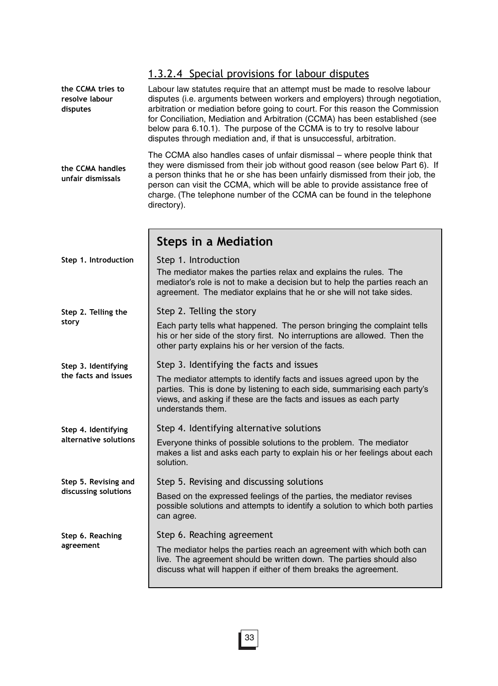|                                                 | 1.3.2.4 Special provisions for labour disputes                                                                                                                                                                                                                                                                                                                                                                                                                                   |  |  |
|-------------------------------------------------|----------------------------------------------------------------------------------------------------------------------------------------------------------------------------------------------------------------------------------------------------------------------------------------------------------------------------------------------------------------------------------------------------------------------------------------------------------------------------------|--|--|
| the CCMA tries to<br>resolve labour<br>disputes | Labour law statutes require that an attempt must be made to resolve labour<br>disputes (i.e. arguments between workers and employers) through negotiation,<br>arbitration or mediation before going to court. For this reason the Commission<br>for Conciliation, Mediation and Arbitration (CCMA) has been established (see<br>below para 6.10.1). The purpose of the CCMA is to try to resolve labour<br>disputes through mediation and, if that is unsuccessful, arbitration. |  |  |
| the CCMA handles<br>unfair dismissals           | The CCMA also handles cases of unfair dismissal – where people think that<br>they were dismissed from their job without good reason (see below Part 6). If<br>a person thinks that he or she has been unfairly dismissed from their job, the<br>person can visit the CCMA, which will be able to provide assistance free of<br>charge. (The telephone number of the CCMA can be found in the telephone<br>directory).                                                            |  |  |
|                                                 | <b>Steps in a Mediation</b>                                                                                                                                                                                                                                                                                                                                                                                                                                                      |  |  |
| Step 1. Introduction                            | Step 1. Introduction<br>The mediator makes the parties relax and explains the rules. The<br>mediator's role is not to make a decision but to help the parties reach an<br>agreement. The mediator explains that he or she will not take sides.                                                                                                                                                                                                                                   |  |  |
| Step 2. Telling the                             | Step 2. Telling the story                                                                                                                                                                                                                                                                                                                                                                                                                                                        |  |  |
| story                                           | Each party tells what happened. The person bringing the complaint tells<br>his or her side of the story first. No interruptions are allowed. Then the<br>other party explains his or her version of the facts.                                                                                                                                                                                                                                                                   |  |  |
| Step 3. Identifying                             | Step 3. Identifying the facts and issues                                                                                                                                                                                                                                                                                                                                                                                                                                         |  |  |
| the facts and issues                            | The mediator attempts to identify facts and issues agreed upon by the<br>parties. This is done by listening to each side, summarising each party's<br>views, and asking if these are the facts and issues as each party<br>understands them.                                                                                                                                                                                                                                     |  |  |
| Step 4. Identifying                             | Step 4. Identifying alternative solutions                                                                                                                                                                                                                                                                                                                                                                                                                                        |  |  |
| alternative solutions                           | Everyone thinks of possible solutions to the problem. The mediator<br>makes a list and asks each party to explain his or her feelings about each<br>solution.                                                                                                                                                                                                                                                                                                                    |  |  |
| Step 5. Revising and                            | Step 5. Revising and discussing solutions                                                                                                                                                                                                                                                                                                                                                                                                                                        |  |  |
| discussing solutions                            | Based on the expressed feelings of the parties, the mediator revises<br>possible solutions and attempts to identify a solution to which both parties<br>can agree.                                                                                                                                                                                                                                                                                                               |  |  |
| Step 6. Reaching                                | Step 6. Reaching agreement                                                                                                                                                                                                                                                                                                                                                                                                                                                       |  |  |
| agreement                                       | The mediator helps the parties reach an agreement with which both can<br>live. The agreement should be written down. The parties should also<br>discuss what will happen if either of them breaks the agreement.                                                                                                                                                                                                                                                                 |  |  |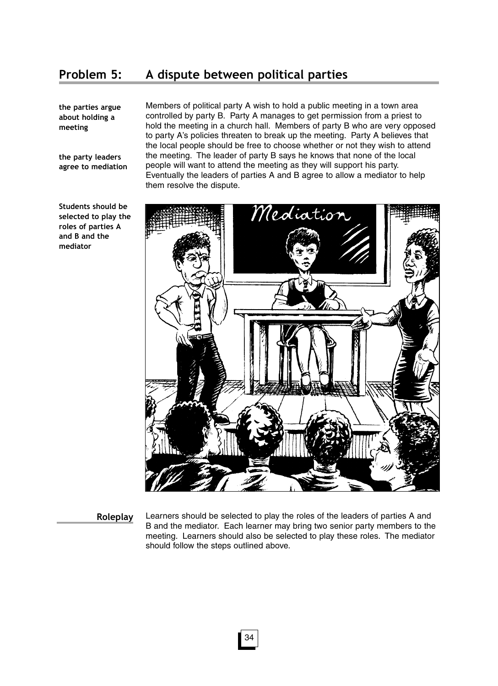## **Problem 5: A dispute between political parties**

**the parties argue about holding a meeting**

**the party leaders agree to mediation** Members of political party A wish to hold a public meeting in a town area controlled by party B. Party A manages to get permission from a priest to hold the meeting in a church hall. Members of party B who are very opposed to party A's policies threaten to break up the meeting. Party A believes that the local people should be free to choose whether or not they wish to attend the meeting. The leader of party B says he knows that none of the local people will want to attend the meeting as they will support his party. Eventually the leaders of parties A and B agree to allow a mediator to help them resolve the dispute.



**Students should be selected to play the roles of parties A and B and the mediator**

**Roleplay**

Learners should be selected to play the roles of the leaders of parties A and B and the mediator. Each learner may bring two senior party members to the meeting. Learners should also be selected to play these roles. The mediator should follow the steps outlined above.